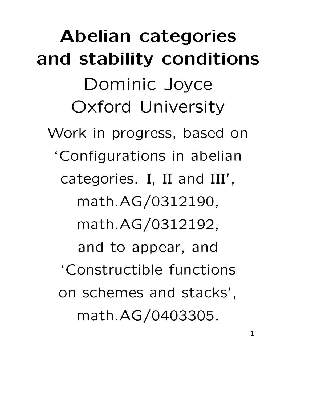**Abelian categories and stability conditions** Dominic Joyce Oxford University Work in progress, based on 'Configurations in abelian categories. I, II and III', math.AG/0312190, math.AG/0312192, and to appear, and 'Constructible functions on schemes and stacks', math.AG/0403305.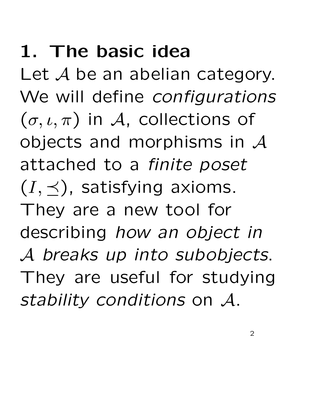# **1. The basic idea**

Let A be an abelian category. We will define *configurations*  $(\sigma, \iota, \pi)$  in A, collections of objects and morphisms in  $\mathcal A$ attached to a *finite poset*  $(I, \prec)$ , satisfying axioms. They are a new tool for describing *how an object in* A *breaks up into subobjects*. They are useful for studying *stability conditions* on A.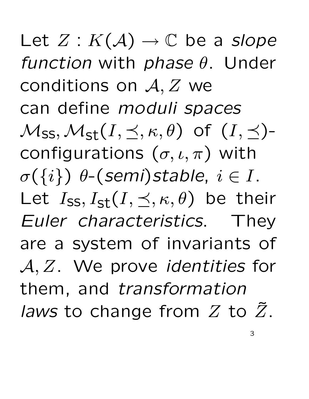Let  $Z: K(\mathcal{A}) \to \mathbb{C}$  be a *slope function* with *phase* θ. Under conditions on A, Z we can define *moduli spaces*  $\mathcal{M}_{SS}, \mathcal{M}_{st}(I, \preceq, \kappa, \theta)$  of  $(I, \preceq)$ configurations  $(\sigma, \iota, \pi)$  with  $\sigma(\{i\})$   $\theta$ -(*semi*)*stable*,  $i \in I$ . Let  $I_{SS}, I_{st}(I, \prec, \kappa, \theta)$  be their *Euler characteristics*. They are a system of invariants of A, Z. We prove *identities* for them, and *transformation laws* to change from  $Z$  to  $\overline{Z}$ .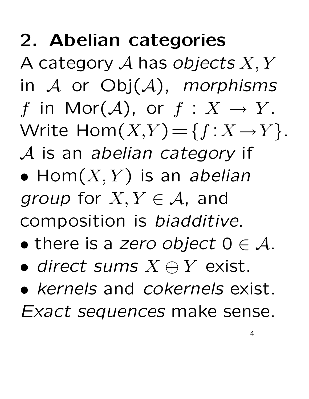# **2. Abelian categories**

A category A has *objects* X, Y in A or Obj(A), *morphisms* f in Mor $(\mathcal{A})$ , or  $f: X \to Y$ . Write  $\text{Hom}(X,Y) = \{f : X \to Y\}.$ A is an *abelian category* if

- $\bullet$  Hom $(X, Y)$  is an *abelian group* for  $X, Y \in \mathcal{A}$ , and composition is *biadditive*.
- there is a *zero object*  $0 \in \mathcal{A}$ .
- *direct sums* X ⊕ Y exist.
- *kernels* and *cokernels* exist. *Exact sequences* make sense.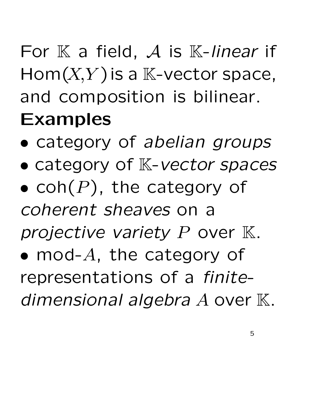For K a field, A is K-linear if  $Hom(X,Y)$  is a  $\mathbb{K}\text{-vector space}$ , and composition is bilinear. **Examples**

- category of *abelian groups*
- category of K-*vector spaces*
- coh $(P)$ , the category of *coherent sheaves* on a
- *projective variety* P over K.
- mod- $A$ , the category of representations of a *finite*dimensional algebra A over K.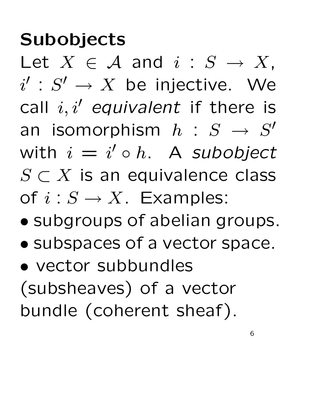# **Subobjects**

Let  $X \in \mathcal{A}$  and  $i : S \rightarrow X$ ,  $i' : S' \to X$  be injective. We call  $i, i'$  *equivalent* if there is an isomorphism  $h : S \rightarrow S'$ with  $i = i' \circ h$ . A *subobject*  $S \subset X$  is an equivalence class of  $i: S \to X$ . Examples:

- subgroups of abelian groups.
- subspaces of a vector space.

• vector subbundles (subsheaves) of a vector bundle (coherent sheaf).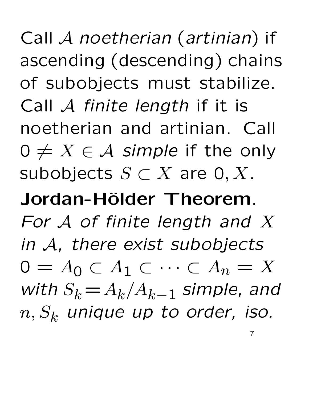Call A *noetherian* (*artinian*) if ascending (descending) chains of subobjects must stabilize. Call A *finite length* if it is noetherian and artinian. Call  $0 \neq X \in \mathcal{A}$  *simple* if the only subobjects  $S \subset X$  are  $0, X$ .

**Jordan-H¨older Theorem**. *For* A *of finite length and* X *in* A*, there exist subobjects*  $0 = A_0 \subset A_1 \subset \cdots \subset A_n = X$ *with*  $S_k = A_k/A_{k-1}$  *simple, and*  $n, S_k$  *unique up to order, iso.* 

7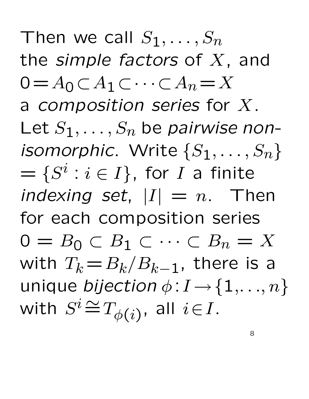Then we call  $S_1, \ldots, S_n$ the *simple factors* of X, and  $0=A_0\subset A_1\subset\cdots\subset A_n=X$ a *composition series* for X. Let  $S_1, \ldots, S_n$  be *pairwise nonisomorphic.* Write  $\{S_1, \ldots, S_n\}$  $= \{S^i : i \in I\}$ , for I a finite *indexing set*,  $|I| = n$ . Then for each composition series  $0 = B_0 \subset B_1 \subset \cdots \subset B_n = X$ with  $T_k = B_k/B_{k-1}$ , there is a unique *bijection*  $\phi: I \rightarrow \{1, \ldots, n\}$ with  $S^i {\, \cong \,} T_{\phi(i)},$  all  $i \! \in \! I.$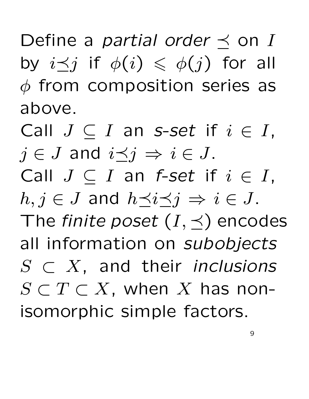Define a *partial order*  $\preceq$  on I by  $i \prec j$  if  $\phi(i) \leq \phi(j)$  for all  $\phi$  from composition series as above.

Call  $J \subset I$  an *s*-set if  $i \in I$ ,  $j \in J$  and  $i \preceq j \Rightarrow i \in J$ . Call  $J \subset I$  an *f-set* if  $i \in I$ ,  $h, j \in J$  and  $h \prec i \prec j \Rightarrow i \in J$ . The *finite poset*  $(I, \preceq)$  encodes all information on *subobjects* S ⊂ X, and their *inclusions*  $S\subset T\subset X$ , when  $X$  has nonisomorphic simple factors.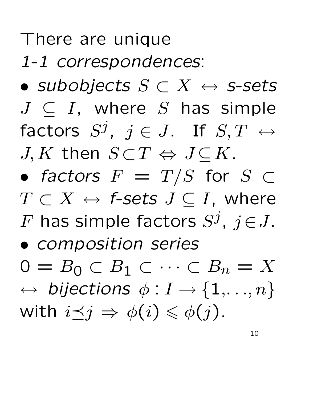### There are unique

*1-1 correspondences*:

- *subobjects* S ⊂ X ↔ *s-sets*  $J \subseteq I$ , where S has simple factors  $S^j,$   $j\in J.$  If  $S,T$   $\leftrightarrow$  $J, K$  then  $S\!\subset\!T\Leftrightarrow J\!\subseteq\!K.$
- *factors*  $F = T/S$  for  $S \subset$  $T \subset X \leftrightarrow$  *f-sets*  $J \subset I$ *, where*  $F$  has simple factors  $S^j$ ,  $j \in J$ .
- *composition series*

 $0 = B_0 \subset B_1 \subset \cdots \subset B_n = X$  $\leftrightarrow$  bijections  $\phi: I \rightarrow \{1, \ldots, n\}$ with  $i \leq j \Rightarrow \phi(i) \leq \phi(j)$ .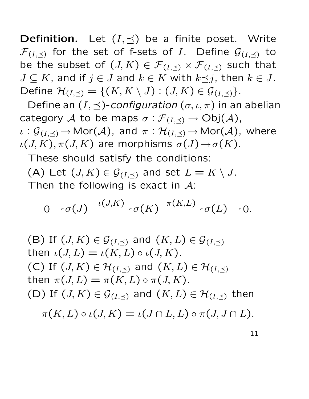**Definition.** Let  $(I, \preceq)$  be a finite poset. Write  $\mathcal{F}_{(I,\preceq)}$  for the set of f-sets of I. Define  $\mathcal{G}_{(I,\preceq)}$  to be the subset of  $(J, K) \in \mathcal{F}_{(I, \prec)} \times \mathcal{F}_{(I, \prec)}$  such that  $J \subseteq K$ , and if  $j \in J$  and  $k \in K$  with  $k \preceq j$ , then  $k \in J$ . Define  $\mathcal{H}_{(I,\preceq)} = \{(K,K \setminus J) : (J,K) \in \mathcal{G}_{(I,\preceq)}\}.$ 

Define an  $(I, \preceq)$ -*configuration*  $(\sigma, \iota, \pi)$  in an abelian category A to be maps  $\sigma : \mathcal{F}_{(I,\preceq)} \to \mathrm{Obj}(\mathcal{A})$ ,  $\iota: \mathcal{G}_{(I,\preceq)} \to \mathsf{Mor}(\mathcal{A})$ , and  $\pi: \mathcal{H}_{(I,\preceq)} \to \mathsf{Mor}(\mathcal{A})$ , where

 $\iota(J, K), \pi(J, K)$  are morphisms  $\sigma(J) \rightarrow \sigma(K)$ .

These should satisfy the conditions:

(A) Let  $(J, K) \in \mathcal{G}_{(I, \prec)}$  and set  $L = K \setminus J$ .

Then the following is exact in  $\mathcal{A}$ :

$$
0 \longrightarrow \sigma(J) \xrightarrow{\iota(J,K)} \sigma(K) \xrightarrow{\pi(K,L)} \sigma(L) \longrightarrow 0.
$$

\n- (B) If 
$$
(J, K) \in \mathcal{G}_{(I, \preceq)}
$$
 and  $(K, L) \in \mathcal{G}_{(I, \preceq)}$  then  $\iota(J, L) = \iota(K, L) \circ \iota(J, K)$ .
\n- (C) If  $(J, K) \in \mathcal{H}_{(I, \preceq)}$  and  $(K, L) \in \mathcal{H}_{(I, \preceq)}$  then  $\pi(J, L) = \pi(K, L) \circ \pi(J, K)$ .
\n- (D) If  $(J, K) \in \mathcal{G}_{(I, \preceq)}$  and  $(K, L) \in \mathcal{H}_{(I, \preceq)}$  then  $\pi(K, L) \circ \iota(J, K) = \iota(J \cap L, L) \circ \pi(J, J \cap L)$ .
\n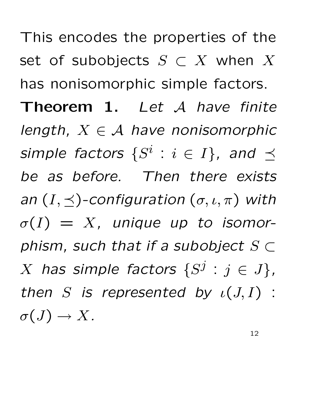This encodes the properties of the set of subobjects  $S \subset X$  when  $X$ has nonisomorphic simple factors. **Theorem 1.** *Let* A *have finite length,* X ∈ A *have nonisomorphic simple factors*  $\{S^i : i \in I\}$ , and  $\preceq$ *be as before. Then there exists an*  $(I, \prec)$ -configuration  $(\sigma, \iota, \pi)$  with  $\sigma(I) = X$ , unique up to isomor*phism, such that if a subobject* S ⊂ X has simple factors  $\{S^j : j \in J\}$ , *then* S is represented by  $\iota(J, I)$  :  $\sigma(J) \to X$ .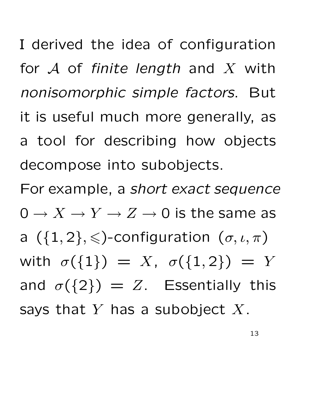I derived the idea of configuration for A of *finite length* and X with *nonisomorphic simple factors*. But it is useful much more generally, as a tool for describing how objects decompose into subobjects.

For example, a *short exact sequence*  $0 \to X \to Y \to Z \to 0$  is the same as a  $({1, 2}, \leqslant)$ -configuration  $(\sigma, \iota, \pi)$ with  $\sigma({1}) = X$ ,  $\sigma({1, 2}) = Y$ and  $\sigma({2}) = Z$ . Essentially this says that  $Y$  has a subobject  $X$ .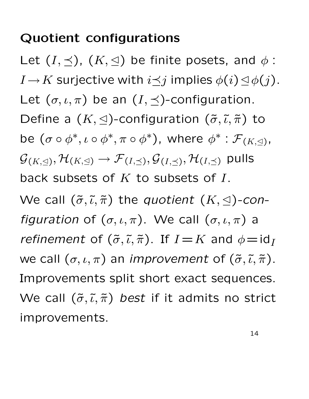### **Quotient configurations**

Let  $(I, \preceq)$ ,  $(K, \trianglelefteq)$  be finite posets, and  $\phi$ :  $I$   $\rightarrow$   $K$  surjective with  $i$   $\preceq$   $j$  implies  $\phi(i)$   $\trianglelefteq$   $\phi(j)$ . Let  $(\sigma, \iota, \pi)$  be an  $(I, \preceq)$ -configuration. Define a  $(K, \leq)$ -configuration  $(\tilde{\sigma}, \tilde{\iota}, \tilde{\pi})$  to be  $(\sigma \circ \phi^*, \iota \circ \phi^*, \pi \circ \phi^*)$ , where  $\phi^* : \mathcal{F}_{(K, \triangle)},$  ${\mathcal G}_{(K, \triangleleft)}, {\mathcal H}_{(K, \triangleleft)} \to {\mathcal F}_{(I, \preceq)}, {\mathcal G}_{(I, \preceq)}, {\mathcal H}_{(I, \preceq)}$  pulls back subsets of  $K$  to subsets of  $I$ . We call  $(\tilde{\sigma}, \tilde{\iota}, \tilde{\pi})$  the *quotient*  $(K, \triangle)$ -con*figuration* of  $(\sigma, \iota, \pi)$ . We call  $(\sigma, \iota, \pi)$  a *refinement* of  $(\tilde{\sigma}, \tilde{\iota}, \tilde{\pi})$ . If  $I = K$  and  $\phi = id_I$ we call  $(\sigma, \iota, \pi)$  an *improvement* of  $(\tilde{\sigma}, \tilde{\iota}, \tilde{\pi})$ . Improvements split short exact sequences. We call  $(\tilde{\sigma}, \tilde{\iota}, \tilde{\pi})$  *best* if it admits no strict improvements.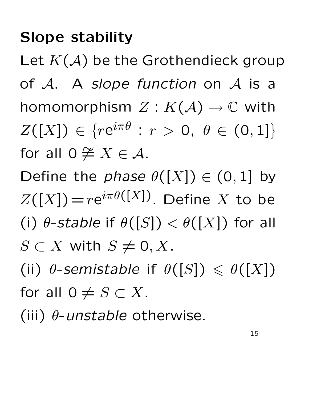### **Slope stability**

Let  $K(\mathcal{A})$  be the Grothendieck group of A. A *slope function* on A is a homomorphism  $Z: K(\mathcal{A}) \to \mathbb{C}$  with  $Z([X]) \in \{r\mathrm{e}^{i\pi\theta} \, : \, r \, > \, 0, \,\, \theta \, \in \, (0,1]\}$ for all  $0 \ncong X \in \mathcal{A}$ .

Define the *phase*  $\theta([X]) \in (0,1]$  by  $Z([X])=re^{i\pi\theta([X])}$ . Define X to be (i)  $\theta$ -*stable* if  $\theta([S]) < \theta([X])$  for all  $S \subset X$  with  $S \neq 0, X$ .

(ii)  $\theta$ -semistable if  $\theta([S]) \leq \theta([X])$ for all  $0 \neq S \subset X$ .

(iii) θ-*unstable* otherwise.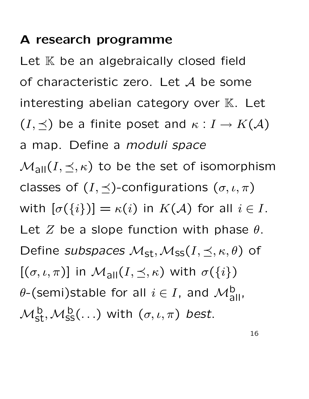#### **A research programme**

Let  $K$  be an algebraically closed field of characteristic zero. Let  $A$  be some interesting abelian category over  $K$ . Let  $(I, \preceq)$  be a finite poset and  $\kappa : I \to K(\mathcal{A})$ a map. Define a *moduli space*  $\mathcal{M}_{all}(I, \preceq, \kappa)$  to be the set of isomorphism classes of  $(I, \preceq)$ -configurations  $(\sigma, \iota, \pi)$ with  $[\sigma({i})] = \kappa(i)$  in  $K(\mathcal{A})$  for all  $i \in I$ . Let Z be a slope function with phase  $\theta$ . Define *subspaces*  $M_{st}$ ,  $M_{ss}(I, \leq, \kappa, \theta)$  of  $[(\sigma, \iota, \pi)]$  in  $\mathcal{M}_{all}(I, \preceq, \kappa)$  with  $\sigma({i})$  $\theta$ -(semi)stable for all  $i \in I$ , and  $\mathcal{M}^{\mathsf{b}}_{\mathsf{all}}$ ,  $\mathcal{M}_\mathsf{st}^\mathsf{b}, \mathcal{M}_\mathsf{SS}^\mathsf{b}(\ldots)$  with  $(\sigma,\iota,\pi)$  best.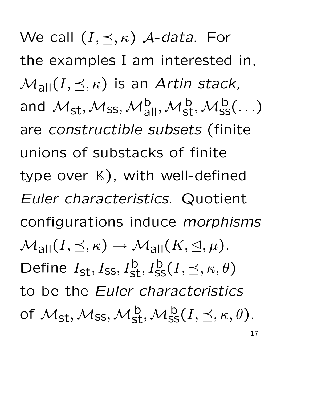We call  $(I, \prec, \kappa)$  *A-data*. For the examples I am interested in,  $\mathcal{M}_{\text{all}}(I, \preceq, \kappa)$  is an *Artin stack*, and  $\mathcal{M}_{st},\mathcal{M}_{ss},\mathcal{M}_{all}^b,\mathcal{M}_{st}^b,\mathcal{M}_{ss}^b(\ldots)$ are *constructible subsets* (finite unions of substacks of finite type over  $K$ ), with well-defined *Euler characteristics*. Quotient configurations induce *morphisms*  $\mathcal{M}_{\text{all}}(I, \preceq, \kappa) \to \mathcal{M}_{\text{all}}(K, \trianglelefteq, \mu).$ Define  $I_{st}, I_{ss}, I_{st}^b, I_{ss}^b(I, \preceq, \kappa, \theta)$ to be the *Euler characteristics* of  $\mathcal{M}_{\mathsf{st}},\mathcal{M}_{\mathsf{ss}},\mathcal{M}_{\mathsf{st}}^{\mathsf{b}},\mathcal{M}_{\mathsf{ss}}^{\mathsf{b}}(I,\preceq,\kappa,\theta).$ 17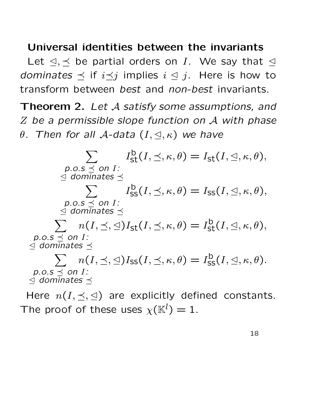#### **Universal identities between the invariants**

Let  $\leq, \leq$  be partial orders on I. We say that  $\leq$ *dominates*  $\preceq$  if  $i \preceq j$  implies  $i \preceq j$ . Here is how to transform between *best* and *non-best* invariants.

**Theorem 2.** *Let* A *satisfy some assumptions, and* Z *be a permissible slope function on* A *with phase*  $\theta$ *. Then for all A-data*  $(I, \trianglelefteq, \kappa)$  *we have* 

 $\sum$  $p.o.s \prec on I$ :  $\le$  *dominates*  $\preceq$  $I_{\mathsf{st}}^{\mathsf{b}}(I, \preceq, \kappa, \theta) = I_{\mathsf{st}}(I, \trianglelefteq, \kappa, \theta),$  $\sum I_{\text{SS}}^{\text{b}}(I, \leq, \kappa, \theta) = I_{\text{SS}}(I, \leq, \kappa, \theta),$  $p.o.s \prec on I$ :  $\le$  *dominates*  $\preceq$  $\sum n(I, \leq, \leq)I_{st}(I, \leq, \kappa, \theta) = I_{st}^{b}(I, \leq, \kappa, \theta),$  $p.o.s \prec on I$ :  $\trianglelefteq$  dominates  $\preceq$  $\sum n(I, \leq, \leq)I_{\text{SS}}(I, \leq, \kappa, \theta) = I_{\text{SS}}^{\text{b}}(I, \leq, \kappa, \theta).$  $p.o.s \preceq on I$ :  $\le$  *dominates*  $\preceq$ 

Here  $n(I, \preceq, \trianglelefteq)$  are explicitly defined constants. The proof of these uses  $\chi(\mathbb{K}^l)=1.$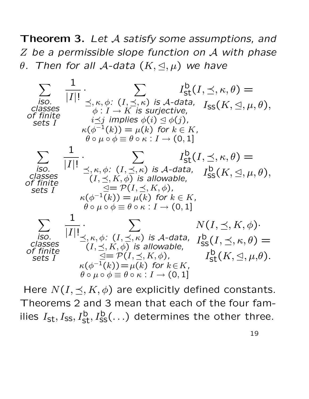**Theorem 3.** *Let* A *satisfy some assumptions, and* Z *be a permissible slope function on* A *with phase*  $\theta$ . Then for all  $\mathcal{A}\text{-data }$   $(K,\triangleleft,\mu)$  we have

$$
\sum_{\substack{iso. \\ \text{close}}} \frac{1}{|I|!} \cdot \sum_{\substack{\preceq, \kappa, \phi: \\ \phi: I \to K \text{ is surjective,} \\ \phi: I \to K \text{ is surjective,} \\ \text{sets } I}} I_{\text{st}}^{b}(I, \preceq, \kappa, \theta) =
$$
\n
$$
\sum_{\substack{c \text{classes} \\ \text{sets } I}} I_{\text{sp}}^{b}(I, \preceq, \kappa, \theta) =
$$
\n
$$
\sum_{\substack{\kappa(\phi^{-1}(k)) = \mu(k) \\ \phi \circ \mu \circ \phi \equiv \theta \circ \kappa : I \to (0, 1] \\ \text{classes}} I} \cdot \sum_{\substack{c \text{classes} \\ \text{classes } \\ \text{of finite} \\ \text{sets } I}} I_{\text{sp}}^{b}(I, \preceq, \kappa, \theta) =
$$
\n
$$
\sum_{\substack{c \text{classes} \\ \text{classes} \\ \text{of finite} \\ \text{sets } I}} \frac{1}{|I|!} \cdot \sum_{\substack{\preceq, \kappa, \phi: \\ \phi: \\ \text{if } \kappa(\phi^{-1}(k)) = \mu(k) \\ \text{if } \kappa(\phi^{-1}(k)) = \mu(k) \\ \text{if } \kappa(\phi^{-1}(k)) = \mu(k) \\ \text{if } \kappa(\phi^{-1}(k)) = \mu(k) \\ \text{if } \kappa(\phi^{-1}(k)) = \mu(k) \\ \text{if } \kappa(\phi^{-1}(k)) = \sum_{\substack{\kappa, \\ \text{if } \kappa(\phi: \\ \text{if } \kappa(\phi: \\ \text{if } \kappa(\phi: \\ \text{if } \kappa(\phi: \\ \text{if } \kappa(\phi: \\ \text{if } \kappa(\phi: \\ \text{if } \kappa(\phi: \\ \text{if } \kappa(\phi: \\ \text{if } \kappa(\phi: \\ \text{if } \kappa(\phi: \\ \text{if } \kappa(\phi: \\ \text{if } \kappa(\phi: \\ \text{if } \kappa(\phi: \\ \text{if } \kappa(\phi: \\ \text{if } \kappa(\phi: \\ \text{if } \kappa(\phi: \\ \text{if } \kappa(\phi: \\ \text{if } \kappa(\phi: \\ \text{if } \kappa(\phi: \\ \text{if } \kappa(\phi: \\ \text{if } \kappa(\phi: \\
$$

Here  $N(I, \preceq, K, \phi)$  are explicitly defined constants. Theorems 2 and 3 mean that each of the four families  $I_{\mathsf{st}}, I_{\mathsf{ss}}, I_{\mathsf{st}}^{\mathsf{b}}, I_{\mathsf{ss}}^{\mathsf{b}}(\ldots)$  determines the other three.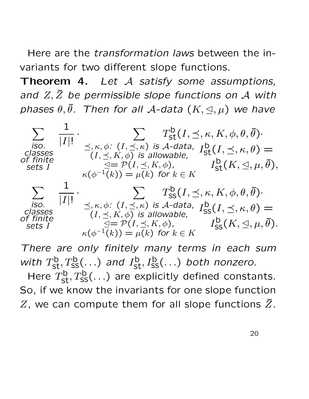Here are the *transformation laws* between the invariants for two different slope functions.

**Theorem 4.** *Let* A *satisfy some assumptions, and* Z, Z˜ *be permissible slope functions on* A *with*  $phases$   $\theta$ , $\tilde{\theta}$ . Then for all A-data  $(K, \triangleleft, \mu)$  we have

 $\sum$ *iso. classes of finite sets* I 1  $|I|!$  $\cdot$   $\sum$  $\preceq, \kappa, \phi$ :  $(I, \preceq, \kappa)$  *is A-data*,  $(I, \preceq, K, \phi)$  *is allowable,*  $\trianglelefteq = \mathcal{P}(I, \preceq, K, \phi)$ ,  $\kappa(\phi^{-1}(k)) = \mu(k)$  for  $k \in K$  $T^{\mathsf{b}}_{\mathsf{st}}(I, \preceq, \kappa, K, \phi, \theta, \tilde{\theta}) \cdot$  $I^{\mathsf{b}}_{\mathsf{st}}(I, \preceq, \kappa, \theta) =$  $I^{\mathsf{b}}_{\mathsf{st}}(K,\trianglelefteq,\mu,\tilde{\theta}),$  $\sum$ *iso. classes of finite sets* I 1  $|I|!$  $\cdot$   $\sum$  $\preceq, \kappa, \phi \colon (I, \preceq, \kappa)$  *is A-data*,  $(I, \preceq, K, \phi)$  *is allowable,*  $\trianglelefteq = \mathcal{P}(I, \preceq, K, \phi)$ ,  $\kappa(\phi^{-1}(k)) = \mu(k)$  for  $k \in K$  $T^{\mathsf{b}}_{\mathsf{SS}}(I, \preceq, \kappa, K, \phi, \theta, \tilde{\theta}) \cdot$  $I^{\mathsf{b}}_{\mathsf{SS}}(I, \preceq, \kappa, \theta) =$  $I^{\mathsf{b}}_{\mathsf{SS}}(K,\trianglelefteq,\mu,\tilde{\theta}).$ 

*There are only finitely many terms in each sum* with  $T_{st}^b, T_{ss}^b(...)$  and  $I_{st}^b, I_{ss}^b(...)$  both nonzero. Here  $T_{\text{st}}^{\text{b}}, T_{\text{ss}}^{\text{b}}(\ldots)$  are explicitly defined constants.

So, if we know the invariants for one slope function  $Z$ , we can compute them for all slope functions  $\tilde{Z}$ .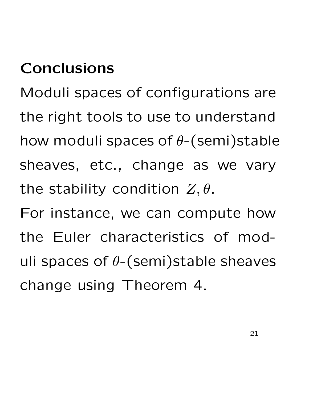## **Conclusions**

Moduli spaces of configurations are the right tools to use to understand how moduli spaces of  $\theta$ -(semi)stable sheaves, etc., change as we vary the stability condition  $Z, \theta$ .

For instance, we can compute how the Euler characteristics of moduli spaces of  $\theta$ -(semi)stable sheaves change using Theorem 4.